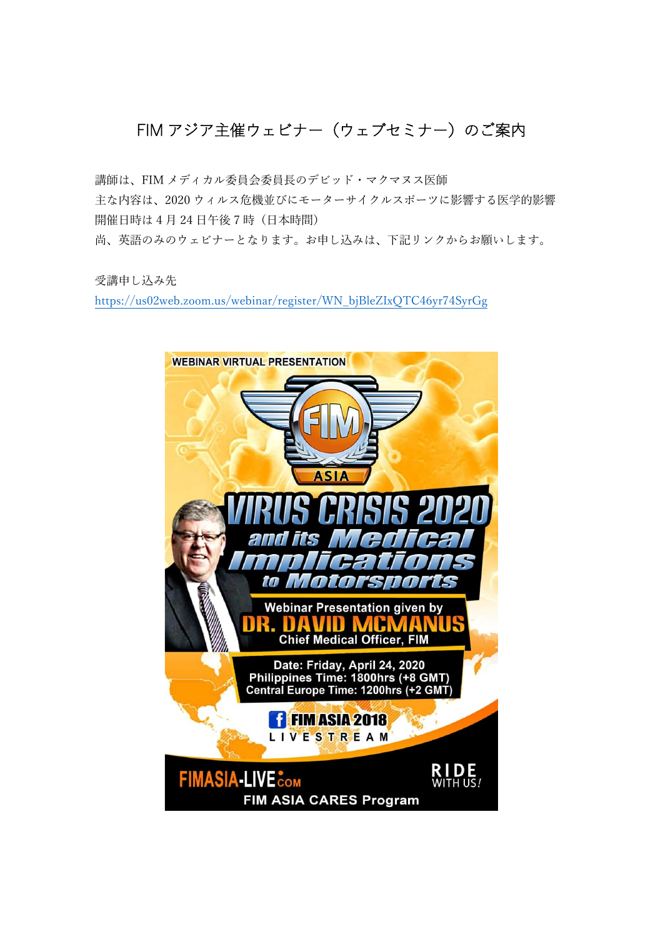## FIM アジア主催ウェビナー(ウェブセミナー)のご案内

講師は、FIM メディカル委員会委員長のデビッド・マクマヌス医師 主な内容は、2020 ウィルス危機並びにモーターサイクルスポーツに影響する医学的影響 開催日時は4月24日午後7時(日本時間) 尚、英語のみのウェビナーとなります。お申し込みは、下記リンクからお願いします。

受講申し込み先

[https://us02web.zoom.us/webinar/register/WN\\_bjBleZIxQTC46yr74SyrGg](https://us02web.zoom.us/webinar/register/WN_bjBleZIxQTC46yr74SyrGg)

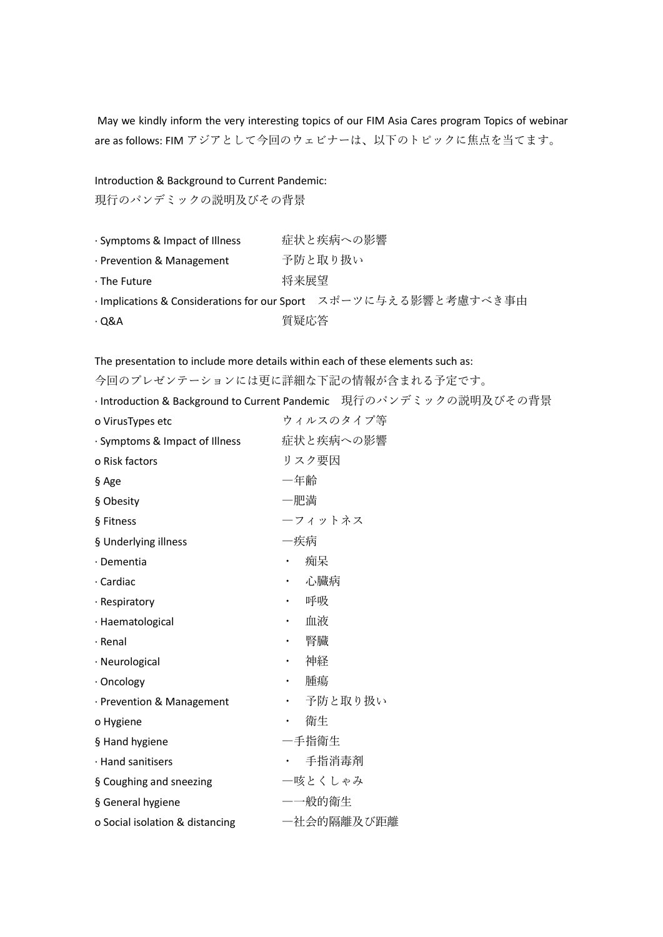May we kindly inform the very interesting topics of our FIM Asia Cares program Topics of webinar are as follows: FIM アジアとして今回のウェビナーは、以下のトピックに焦点を当てます。

## Introduction & Background to Current Pandemic:

現行のパンデミックの説明及びその背景

| · Symptoms & Impact of Illness  |      | 症状と疾病への影響                                                       |
|---------------------------------|------|-----------------------------------------------------------------|
| $\cdot$ Prevention & Management |      | 予防と取り扱い                                                         |
| $\cdot$ The Future              | 将来展望 |                                                                 |
|                                 |      | ·Implications & Considerations for our Sport スポーツに与える影響と考慮すべき事由 |
| ∙Q&A                            | 質疑応答 |                                                                 |

The presentation to include more details within each of these elements such as:

|                                 | 今回のプレゼンテーションには更に詳細な下記の情報が含まれる予定です。                                 |
|---------------------------------|--------------------------------------------------------------------|
|                                 | · Introduction & Background to Current Pandemic 現行のパンデミックの説明及びその背景 |
| o VirusTypes etc                | ウィルスのタイプ等                                                          |
| · Symptoms & Impact of Illness  | 症状と疾病への影響                                                          |
| o Risk factors                  | リスク要因                                                              |
| § Age                           | 一年齢                                                                |
| § Obesity                       | 一肥満                                                                |
| § Fitness                       | ーフィットネス                                                            |
| § Underlying illness            | 一疾病                                                                |
| · Dementia                      | 痴呆                                                                 |
| · Cardiac                       | 心臓病<br>$\bullet$                                                   |
| · Respiratory                   | 呼吸<br>$\bullet$                                                    |
| · Haematological                | 血液<br>$\bullet$                                                    |
| · Renal                         | 腎臓<br>$\bullet$                                                    |
| · Neurological                  | 神経<br>$\bullet$                                                    |
| · Oncology                      | 腫瘍<br>$\bullet$                                                    |
| · Prevention & Management       | 予防と取り扱い<br>$\bullet$                                               |
| o Hygiene                       | 衛生                                                                 |
| § Hand hygiene                  | 一手指衛生                                                              |
| · Hand sanitisers               | 手指消毒剤                                                              |
| § Coughing and sneezing         | 一咳とくしゃみ                                                            |
| § General hygiene               | —一般的衛生                                                             |
| o Social isolation & distancing | 一社会的隔離及び距離                                                         |